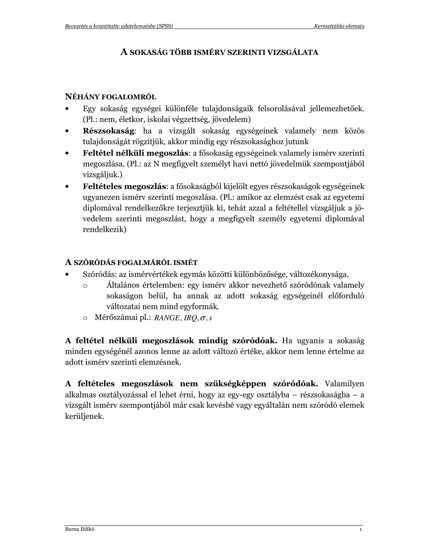## A SOKASÁG TÖBB ISMÉRV SZERINTI VIZSGÁLATA

#### NÉHÁNY FOGALOMRÓL

- Egy sokaság egységei különféle tulajdonságaik felsorolásával jellemezhetőek.  $\bullet$ (Pl.: nem, életkor, iskolai végzettség, jövedelem)
- Részsokaság: ha a vizsgált sokaság egységeinek valamely nem közös  $\bullet$ tulajdonságát rögzítjük, akkor mindig egy részsokasághoz jutunk
- Feltétel nélküli megoszlás: a fősokaság egységeinek valamely isméry szerinti  $\bullet$ megoszlása. (Pl.: az N megfigyelt személyt havi nettó jövedelmük szempontjából vizsgáljuk.)
- Feltételes megoszlás: a fősokaságból kijelölt egyes részsokaságok egységeinek ugyanezen ismérv szerinti megoszlása. (Pl.: amikor az elemzést csak az egyetemi diplomával rendelkezőkre terjesztjük ki, tehát azzal a feltétellel vizsgáljuk a jövedelem szerinti megoszlást, hogy a megfigyelt személy egyetemi diplomával rendelkezik)

## A SZÓRÓDÁS FOGALMÁRÓL ISMÉT

- Szóródás: az ismérvértékek egymás közötti különbözősége, változékonysága.
	- Általános értelemben: egy ismérv akkor nevezhető szóródónak valamely  $\circ$ sokaságon belül, ha annak az adott sokaság egységeinél előforduló változatai nem mind egyformák.
	- $\circ$  Mérőszámai pl.: RANGE, IRQ,  $\sigma$ , s

A feltétel nélküli megoszlások mindig szóródóak. Ha ugyanis a sokaság minden egységénél azonos lenne az adott változó értéke, akkor nem lenne értelme az adott isméry szerinti elemzésnek.

A feltételes megoszlások nem szükségképpen szóródóak. Valamilyen alkalmas osztályozással el lehet érni, hogy az egy-egy osztályba – részsokaságba – a vizsgált ismérv szempontjából már csak kevésbé vagy egyáltalán nem szóródó elemek kerüljenek.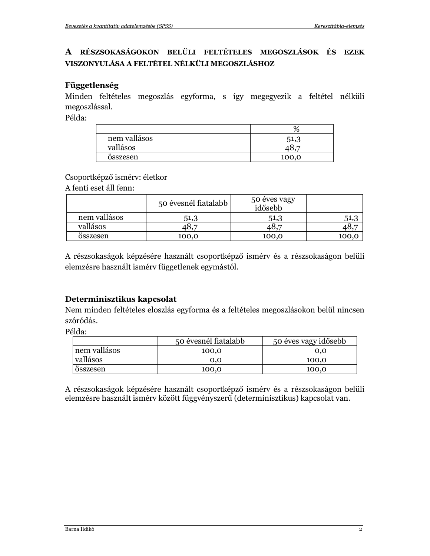## A RÉSZSOKASÁGOKON BELÜLI FELTÉTELES MEGOSZLÁSOK ÉS EZEK VISZONYULÁSA A FELTÉTEL NÉLKÜLI MEGOSZLÁSHOZ

#### Függetlenség

Minden feltételes megoszlás egyforma, s így megegyezik a feltétel nélküli megoszlással.

Példa:

| nem vallásos                 | h     |
|------------------------------|-------|
| vallásos                     |       |
| $\bullet\bullet$<br>osszesen | 100,0 |

Csoportképző ismérv: életkor

A fenti eset áll fenn:

|                              | 50 évesnél fiatalabb | 50 éves vagy<br>idősebb |       |
|------------------------------|----------------------|-------------------------|-------|
| nem vallásos                 | 51,3                 | 51,3                    | 51,3  |
| vallásos                     | -8.7                 | 48,7                    |       |
| $\bullet\bullet$<br>osszesen | 100,0                | 100,0                   | 100,0 |

A részsokaságok képzésére használt csoportképző ismérv és a részsokaságon belüli elemzésre használt ismérv függetlenek egymástól.

## Determinisztikus kapcsolat

Nem minden feltételes eloszlás egyforma és a feltételes megoszlásokon belül nincsen szóródás.

Példa:

|                              | 50 évesnél fiatalabb | 50 éves vagy idősebb |
|------------------------------|----------------------|----------------------|
| nem vallásos                 | 100,0                | 0.0                  |
| vallásos                     | 0.0                  | 100,0                |
| $\bullet\bullet$<br>osszesen | 100,0                | 100,0                |

A részsokaságok képzésére használt csoportképző ismérv és a részsokaságon belüli elemzésre használt ismérv között függvényszerű (determinisztikus) kapcsolat van.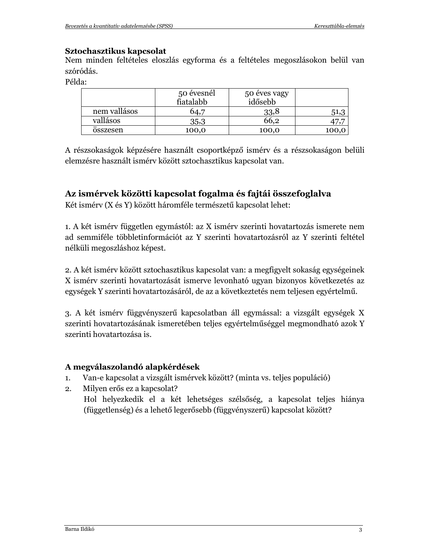#### Sztochasztikus kapcsolat

Nem minden feltételes eloszlás egyforma és a feltételes megoszlásokon belül van szóródás.

Példa:

|              | 50 évesnél<br>fiatalabb | 50 éves vagy<br>idősebb |       |
|--------------|-------------------------|-------------------------|-------|
| nem vallásos | $0.4$ .                 | 33,8                    | 51,3  |
| vallásos     | 35,3                    | 66,2                    |       |
| <br>osszesen | 100,0                   | 100,0                   | 100,0 |

A részsokaságok képzésére használt csoportképző ismérv és a részsokaságon belüli elemzésre használt ismérv között sztochasztikus kapcsolat van.

## Az ismérvek közötti kapcsolat fogalma és fajtái összefoglalva

Két ismérv (X és Y) között háromféle természetű kapcsolat lehet:

1. A két ismérv független egymástól: az X ismérv szerinti hovatartozás ismerete nem ad semmiféle többletinformációt az Y szerinti hovatartozásról az Y szerinti feltétel nélküli megoszláshoz képest.

2. A két ismérv között sztochasztikus kapcsolat van: a megfigyelt sokaság egységeinek X ismérv szerinti hovatartozását ismerve levonható ugyan bizonyos következetés az egységek Y szerinti hovatartozásáról, de az a következtetés nem teljesen egyértelmű.

3. A két ismérv függvényszerű kapcsolatban áll egymással: a vizsgált egységek X szerinti hovatartozásának ismeretében teljes egyértelműséggel megmondható azok Y szerinti hovatartozása is.

## A megválaszolandó alapkérdések

- $1.$ Van-e kapcsolat a vizsgált ismérvek között? (minta vs. teljes populáció)
- Milyen erős ez a kapcsolat?  $2.$ Hol helyezkedik el a két lehetséges szélsőség, a kapcsolat teljes hiánya (függetlenség) és a lehető legerősebb (függvényszerű) kapcsolat között?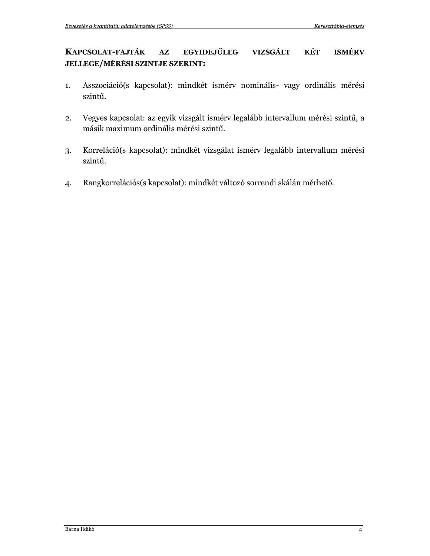#### KAPCSOLAT-FAJTÁK EGYIDEJŰLEG VIZSGÁLT KÉT **ISMÉRV**  $A\mathbf{Z}$ **JELLEGE/MÉRÉSI SZINTJE SZERINT:**

- Asszociáció(s kapcsolat): mindkét ismérv nominális- vagy ordinális mérési  $1.$ szintű.
- Vegyes kapcsolat: az egyik vizsgált ismérv legalább intervallum mérési szintű, a  $2.$ másik maximum ordinális mérési szintű.
- Korreláció(s kapcsolat): mindkét vizsgálat ismérv legalább intervallum mérési  $3.$ szintű.
- Rangkorrelációs(s kapcsolat): mindkét változó sorrendi skálán mérhető.  $4.$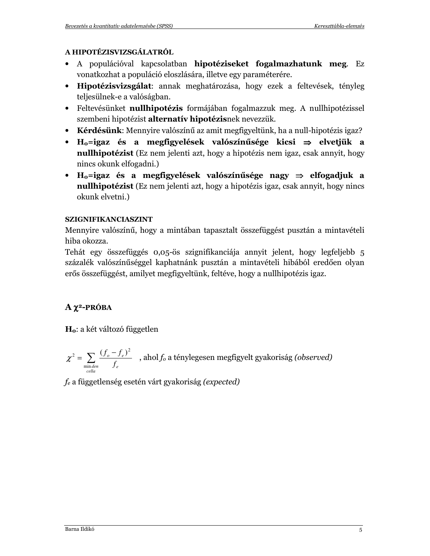### A HIPOTÉZISVIZSGÁLATRÓL

- A populációval kapcsolatban hipotéziseket fogalmazhatunk meg. Ez vonatkozhat a populáció eloszlására, illetve egy paraméterére.
- Hipotézisvizsgálat: annak meghatározása, hogy ezek a feltevések, tényleg teljesülnek-e a valóságban.
- Feltevésünket nullhipotézis formájában fogalmazzuk meg. A nullhipotézissel szembeni hipotézist alternatív hipotézisnek nevezzük.
- Kérdésünk: Mennyire valószínű az amit megfigyeltünk, ha a null-hipotézis igaz?
- $H_0$ =igaz és a megfigyelések valószínűsége kicsi  $\Rightarrow$  elvetjük a **nullhipotézist** (Ez nem jelenti azt, hogy a hipotézis nem igaz, csak annyit, hogy nincs okunk elfogadni.)
- $H_0$ =igaz és a megfigyelések valószínűsége nagy  $\Rightarrow$  elfogadjuk a **nullhipotézist** (Ez nem jelenti azt, hogy a hipotézis igaz, csak annyit, hogy nincs okunk elvetni.)

## **SZIGNIFIKANCIASZINT**

Mennyire valószínű, hogy a mintában tapasztalt összefüggést pusztán a mintavételi hiba okozza.

Tehát egy összefüggés 0,05-ös szignifikanciája annyit jelent, hogy legfeljebb 5 százalék valószínűséggel kaphatnánk pusztán a mintavételi hibából eredően olyan erős összefüggést, amilyet megfigyeltünk, feltéve, hogy a nullhipotézis igaz.

# $A \chi^2$ -PRÓBA

 $H_0$ : a két változó független

$$
\chi^2 = \sum_{\substack{\text{min, den} \\ \text{cella}}} \frac{(f_o - f_e)^2}{f_e}
$$
, ahol $f_o$ a ténylegesen megfigyelt gyakoriság (observed)

 $f_e$  a függetlenség esetén várt gyakoriság (expected)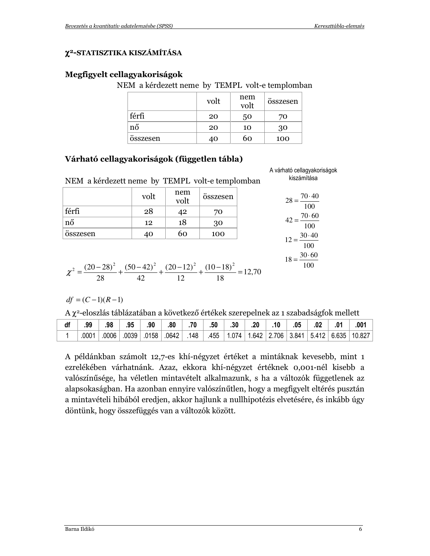A várható cellagyakoriságok

 $\frac{1}{100}$ 

 $18 = \frac{30 \cdot 60}{ }$  $\overline{100}$ 

#### χ<sup>2</sup>-STATISZTIKA KISZÁMÍTÁSA

#### Megfigyelt cellagyakoriságok

NEM a kérdezett neme by TEMPL volt-e templomban

|              | volt | nem<br>volt | <br>osszesen |
|--------------|------|-------------|--------------|
| férfi        | 20   | 50          | 70           |
| nő           | 20   | 10          | 30           |
| <br>osszesen | 40   | 60          | 100          |

#### Várható cellagyakoriságok (független tábla)

| NEM a kérdezett neme by TEMPL volt-e templomban | kiszámítása |                                |          |                                       |
|-------------------------------------------------|-------------|--------------------------------|----------|---------------------------------------|
|                                                 | volt        | nem<br>$\frac{1}{\text{volt}}$ | összesen | $28 = \frac{70 \cdot 40}{100}$<br>100 |
| férfi                                           | 28          | 42                             | 70       |                                       |
| nő                                              | 12          | 18                             | 30       | $42 = \frac{70 \cdot 60}{100}$        |
| összesen                                        | 40          | 60                             | 100      | $12 = \frac{30.40}{ }$                |
|                                                 |             |                                |          | 100                                   |

$$
\chi^2 = \frac{(20-28)^2}{28} + \frac{(50-42)^2}{42} + \frac{(20-12)^2}{12} + \frac{(10-18)^2}{18} = 12,70
$$

 $df = (C-1)(R-1)$ 

A x<sup>2</sup>-eloszlás táblázatában a következő értékek szerepelnek az 1 szabadságfok mellett

| df | .99   | .98   | .95   | .90   | .80   | .70 | .50  | .30   | .20 | .10                     | .05 | .02 | .001               |
|----|-------|-------|-------|-------|-------|-----|------|-------|-----|-------------------------|-----|-----|--------------------|
|    | .0001 | .0006 | .0039 | .0158 | .0642 | 148 | .455 | 1.074 |     | $1.642$   2.706   3.841 |     |     | 5.412 6.635 10.827 |

A példánkban számolt 12,7-es khí-négyzet értéket a mintáknak kevesebb, mint 1 ezrelékében várhatnánk. Azaz, ekkora khí-négyzet értéknek 0,001-nél kisebb a valószínűsége, ha véletlen mintavételt alkalmazunk, s ha a változók függetlenek az alapsokaságban. Ha azonban ennyire valószínűtlen, hogy a megfigyelt eltérés pusztán a mintavételi hibából eredjen, akkor hajlunk a nullhipotézis elvetésére, és inkább úgy döntünk, hogy összefüggés van a változók között.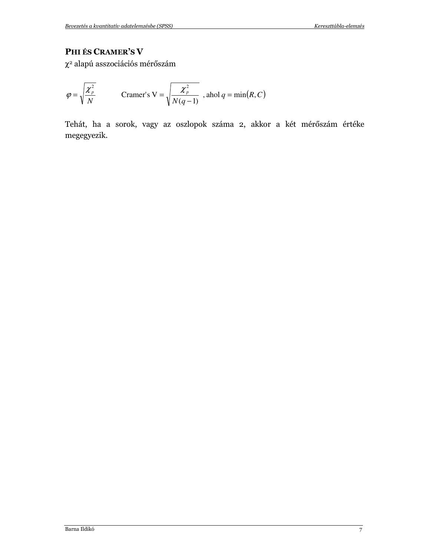## PHI ÉS CRAMER'S V

 $\chi^2$ alapú asszociációs mérőszám

$$
\varphi = \sqrt{\frac{\chi_p^2}{N}} \qquad \text{Cramer's V} = \sqrt{\frac{\chi_p^2}{N(q-1)}} \text{ , and } q = \min(R, C)
$$

Tehát, ha a sorok, vagy az oszlopok száma 2, akkor a két mérőszám értéke megegyezik.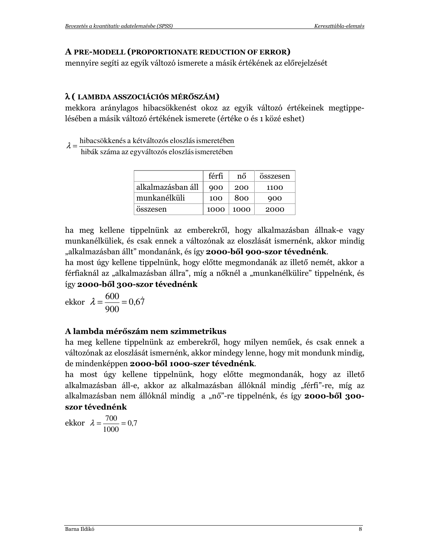#### A PRE-MODELL (PROPORTIONATE REDUCTION OF ERROR)

mennyire segíti az egyik változó ismerete a másik értékének az előrejelzését

#### λ (LAMBDA ASSZOCIÁCIÓS MÉRŐSZÁM)

mekkora aránylagos hibacsökkenést okoz az egyik változó értékeinek megtippelésében a másik változó értékének ismerete (értéke o és 1 közé eshet)

 $\lambda = \frac{\text{hibacsökkenés a kétváltozós eloszlás ismeretében}}{\text{hibák száma az egyváltozós eloszlás ismeretében}}$ 

|                   | férfi | nő   | összesen |
|-------------------|-------|------|----------|
| alkalmazásban áll | 900   | 200  | 1100     |
| munkanélküli      | 100   | 800  | 900      |
| összesen          | 1000  | 1000 | 2000     |

ha meg kellene tippelnünk az emberekről, hogy alkalmazásban állnak-e vagy munkanélküliek, és csak ennek a változónak az eloszlását ismernénk, akkor mindig "alkalmazásban állt" mondanánk, és így 2000-ből 900-szor tévednénk.

ha most úgy kellene tippelnünk, hogy előtte megmondanák az illető nemét, akkor a férfiaknál az "alkalmazásban állra", míg a nőknél a "munkanélkülire" tippelnénk, és így 2000-ből 300-szor tévednénk

ekkor  $\lambda = \frac{600}{900} = 0.67$ 

#### A lambda mérőszám nem szimmetrikus

ha meg kellene tippelnünk az emberekről, hogy milyen neműek, és csak ennek a változónak az eloszlását ismernénk, akkor mindegy lenne, hogy mit mondunk mindig, de mindenképpen 2000-ből 1000-szer tévednénk.

ha most úgy kellene tippelnünk, hogy előtte megmondanák, hogy az illető alkalmazásban áll-e, akkor az alkalmazásban állóknál mindig "férfi"-re, míg az alkalmazásban nem állóknál mindig a "nő"-re tippelnénk, és így 2000-ből 300szor tévednénk

ekkor  $\lambda = \frac{700}{1000} = 0.7$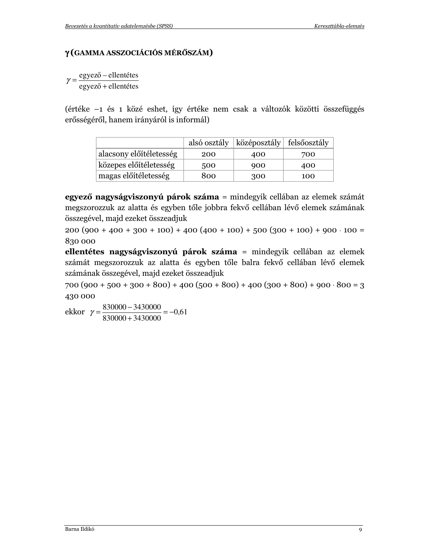### γ (GAMMA ASSZOCIÁCIÓS MÉRŐSZÁM)

 $\gamma = \frac{egyez\ddot{o} - ellentétes}{egyez\ddot{o} + ellentétes}$ 

(értéke –1 és 1 közé eshet, így értéke nem csak a változók közötti összefüggés erősségéről, hanem irányáról is informál)

|                         | alsó osztály | $\vert$ középosztály $\vert$ felsőosztály |     |
|-------------------------|--------------|-------------------------------------------|-----|
| alacsony előítéletesség | 200          | 400                                       | 700 |
| közepes előítéletesség  | 500          | 900                                       | 400 |
| magas előítéletesség    | 800          | 300                                       | 100 |

egyező nagyságviszonyú párok száma = mindegyik cellában az elemek számát megszorozzuk az alatta és egyben tőle jobbra fekvő cellában lévő elemek számának összegével, majd ezeket összeadjuk

 $200 (900 + 400 + 300 + 100) + 400 (400 + 100) + 500 (300 + 100) + 900 \cdot 100 =$ 830 000

ellentétes nagyságviszonyú párok száma = mindegyik cellában az elemek számát megszorozzuk az alatta és egyben tőle balra fekvő cellában lévő elemek számának összegével, majd ezeket összeadjuk

 $700 (900 + 500 + 300 + 800) + 400 (500 + 800) + 400 (300 + 800) + 900 \cdot 800 = 3$ 430 000

ekkor  $\gamma = \frac{830000 - 3430000}{830000 + 3430000} = -0.61$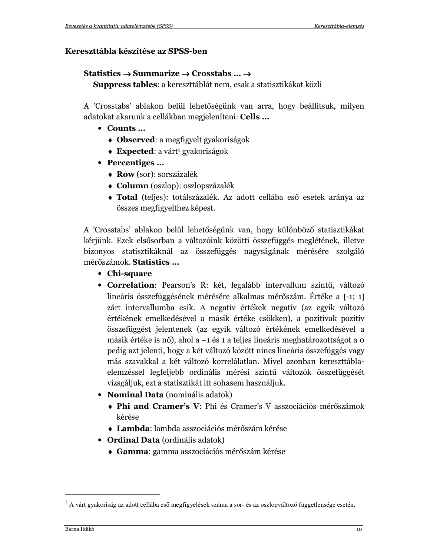#### Kereszttábla készítése az SPSS-ben

#### Statistics  $\rightarrow$  Summarize  $\rightarrow$  Crosstabs ...  $\rightarrow$

Suppress tables: a kereszttáblát nem, csak a statisztikákat közli

A 'Crosstabs' ablakon belül lehetőségünk van arra, hogy beállítsuk, milyen adatokat akarunk a cellákban megjeleníteni: Cells ...

- Counts ...
	- $\bullet$  Observed: a megfigyelt gyakoriságok
	- $\triangle$  Expected: a várt<sup>1</sup> gyakoriságok
- Percentiges ...
	- Row (sor): sorszázalék
	- Column (oszlop): oszlopszázalék
	- Total (teljes): totálszázalék. Az adott cellába eső esetek aránya az összes megfigyelthez képest.

A 'Crosstabs' ablakon belül lehetőségünk van, hogy különböző statisztikákat kérjünk. Ezek elsősorban a változóink közötti összefüggés meglétének, illetve bizonyos statisztikáknál az összefüggés nagyságának mérésére szolgáló mérőszámok. Statistics ...

- Chi-square
- Correlation: Pearson's R: két, legalább intervallum szintű, változó lineáris összefüggésének mérésére alkalmas mérőszám. Értéke a [-1; 1] zárt intervallumba esik. A negatív értékek negatív (az egyik változó értékének emelkedésével a másik értéke csökken), a pozitívak pozitív összefüggést jelentenek (az egyik változó értékének emelkedésével a másik értéke is nő), ahol a -1 és 1 a teljes lineáris meghatározottságot a 0 pedig azt jelenti, hogy a két változó között nincs lineáris összefüggés vagy más szavakkal a két változó korrelálatlan. Mivel azonban kereszttáblaelemzéssel legfeljebb ordinális mérési szintű változók összefüggését vizsgáljuk, ezt a statisztikát itt sohasem használjuk.
- Nominal Data (nominális adatok)
	- ◆ Phi and Cramer's V: Phi és Cramer's V asszociációs mérőszámok kérése
	- Lambda: lambda asszociációs mérőszám kérése
- Ordinal Data (ordinális adatok)
	- Gamma: gamma asszociációs mérőszám kérése

 $^{1}$  A várt gyakoriság az adott cellába eső megfigyelések száma a sor- és az oszlopváltozó függetlensége esetén.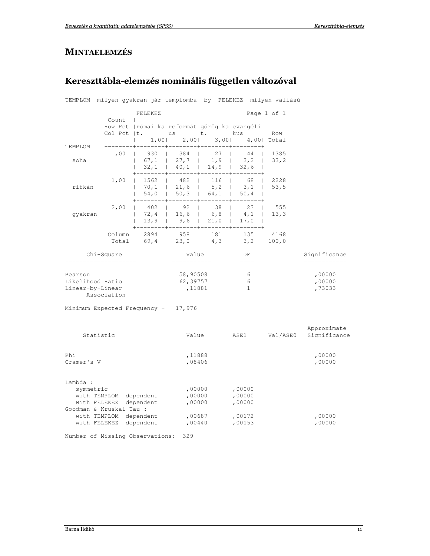## **MINTAELEMZÉS**

# Kereszttábla-elemzés nominális független változóval

|                                                  |                                                  |                                                                                          |                                                                           |                                             |                                      | TEMPLOM milyen gyakran jár templomba by FELEKEZ milyen vallású |                             |
|--------------------------------------------------|--------------------------------------------------|------------------------------------------------------------------------------------------|---------------------------------------------------------------------------|---------------------------------------------|--------------------------------------|----------------------------------------------------------------|-----------------------------|
|                                                  | Count                                            | FELEKEZ<br>$\mathbf{I}$                                                                  |                                                                           |                                             |                                      | Page 1 of 1                                                    |                             |
| <b>TEMPLOM</b>                                   |                                                  | Row Pct   római ka reformát görög ka evangéli<br>Col Pct  t.<br>$1,00$  <br>$\mathbf{I}$ | us t.<br>$2,00$  <br>$\frac{1}{2}$                                        |                                             | kus<br>3,00 4,00 Total               | Row                                                            |                             |
| soha                                             | ,00                                              | 930<br>32,1                                                                              | 384<br>$67, 1$   27,7   1,9<br>$\begin{array}{cccc} 1 & 40,1 \end{array}$ | 27<br>$\mathbf{I}$<br>14,9                  | 44<br>3, 2<br>32,6                   | 1385<br>33, 2                                                  |                             |
| ritkán                                           | 1,00                                             | 1562<br>70,1<br>54,0                                                                     | ------<br>482  <br>$\mathbf{L}$<br>$121,6$ $5,2$<br>$\vert$ 50,3 $\vert$  | 116<br>64,1                                 | 68<br>3,1<br>50, 4                   | 12228<br>53,5                                                  |                             |
| gyakran                                          | 2,00                                             | 402<br>13, 9                                                                             | 92<br>$72,4$   16,6   6,8<br>9,6                                          | 38<br>$\mathbf{L}$<br>21,0<br>------+------ | 23<br>4,1<br>17,0<br>$-----++$       | 555<br>13, 3                                                   |                             |
|                                                  | Column<br>Total                                  | 2894                                                                                     | 958                                                                       | 181                                         | 135<br>$69, 4$ $23, 0$ $4, 3$ $3, 2$ | 4168<br>100,0                                                  |                             |
|                                                  | Chi-Square                                       |                                                                                          | Value                                                                     |                                             | DF<br>$- - - -$                      |                                                                | Significance                |
| Pearson<br>Likelihood Ratio<br>Linear-by-Linear  | Association                                      |                                                                                          | 58,90508<br>62,39757<br>,11881                                            |                                             | 6<br>6<br>$\mathbf{1}$               |                                                                | ,00000<br>,00000<br>,73033  |
| Minimum Expected Frequency - 17,976              |                                                  |                                                                                          |                                                                           |                                             |                                      |                                                                |                             |
| Statistic                                        |                                                  |                                                                                          | Value                                                                     |                                             | ASE1                                 | Val/ASE0<br>البابيات ببابات بنابيات                            | Approximate<br>Significance |
| Phi<br>Cramer's V                                |                                                  |                                                                                          | ,11888<br>,08406                                                          |                                             |                                      |                                                                | ,00000<br>,00000            |
| Lambda :<br>symmetric<br>Goodman & Kruskal Tau : | with TEMPLOM dependent<br>with FELEKEZ dependent |                                                                                          | ,00000<br>,00000<br>,00000                                                |                                             | ,00000<br>,00000<br>,00000           |                                                                |                             |
|                                                  | with TEMPLOM dependent<br>with FELEKEZ dependent |                                                                                          | ,00687<br>,00440                                                          |                                             | ,00172<br>,00153                     |                                                                | ,00000<br>,00000            |

Number of Missing Observations: 329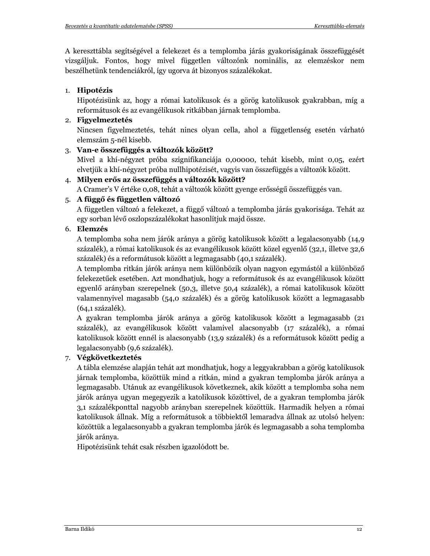A kereszttábla segítségével a felekezet és a templomba járás gyakoriságának összefüggését vizsgáljuk. Fontos, hogy mivel független változónk nominális, az elemzéskor nem beszélhetünk tendenciákról, így ugorva át bizonyos százalékokat.

#### 1. Hipotézis

Hipotézisünk az, hogy a római katolikusok és a görög katolikusok gyakrabban, míg a reformátusok és az evangélikusok ritkábban járnak templomba.

#### 2. Figyelmeztetés

Nincsen figyelmeztetés, tehát nincs olyan cella, ahol a függetlenség esetén várható elemszám 5-nél kisebb.

#### 3. Van-e összefüggés a változók között?

Mivel a khí-négyzet próba szignifikanciája 0,00000, tehát kisebb, mint 0,05, ezért elvetjük a khí-négyzet próba nullhipotézisét, vagyis van összefüggés a változók között.

#### 4. Milyen erős az összefüggés a változók között?

A Cramer's V értéke 0,08, tehát a változók között gyenge erősségű összefüggés van.

#### 5. A függő és független változó

A független változó a felekezet, a függő változó a templomba járás gyakorisága. Tehát az egy sorban lévő oszlopszázalékokat hasonlítjuk majd össze.

#### 6. Elemzés

A templomba soha nem járók aránya a görög katolikusok között a legalacsonyabb (14,9) százalék), a római katolikusok és az evangélikusok között közel egyenlő (32,1, illetve 32,6 százalék) és a reformátusok között a legmagasabb (40,1 százalék).

A templomba ritkán járók aránya nem különbözik olyan nagyon egymástól a különböző felekezetűek esetében. Azt mondhatjuk, hogy a reformátusok és az evangélikusok között egyenlő arányban szerepelnek (50,3, illetve 50,4 százalék), a római katolikusok között valamennyivel magasabb (54,0 százalék) és a görög katolikusok között a legmagasabb (64,1 százalék).

A gyakran templomba járók aránya a görög katolikusok között a legmagasabb (21 százalék), az evangélikusok között valamivel alacsonyabb (17 százalék), a római katolikusok között ennél is alacsonyabb (13,9 százalék) és a reformátusok között pedig a legalacsonyabb (9,6 százalék).

#### 7. Végkövetkeztetés

A tábla elemzése alapján tehát azt mondhatjuk, hogy a leggyakrabban a görög katolikusok járnak templomba, közöttük mind a ritkán, mind a gyakran templomba járók aránya a legmagasabb. Utánuk az evangélikusok következnek, akik között a templomba soha nem járók aránya ugyan megegyezik a katolikusok közöttivel, de a gyakran templomba járók 3,1 százalékponttal nagyobb arányban szerepelnek közöttük. Harmadik helyen a római katolikusok állnak. Míg a reformátusok a többiektől lemaradva állnak az utolsó helyen: közöttük a legalacsonyabb a gyakran templomba járók és legmagasabb a soha templomba járók aránya.

Hipotézisünk tehát csak részben igazolódott be.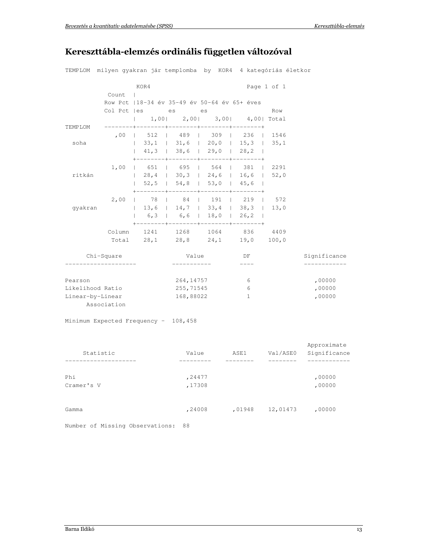# Kereszttábla-elemzés ordinális független változóval

|                  | TEMPLOM milyen gyakran jár templomba by KOR4 4 kategóriás életkor |                                               |           |  |                                      |             |              |
|------------------|-------------------------------------------------------------------|-----------------------------------------------|-----------|--|--------------------------------------|-------------|--------------|
|                  |                                                                   | KOR4                                          |           |  |                                      | Page 1 of 1 |              |
|                  | Count                                                             |                                               |           |  |                                      |             |              |
|                  |                                                                   | Row Pct   18-34 év 35-49 év 50-64 év 65+ éves |           |  |                                      |             |              |
|                  |                                                                   | Col Pct   es es es                            |           |  |                                      | Row         |              |
|                  |                                                                   |                                               |           |  | 1,00  2,00  3,00  4,00  Total        |             |              |
| TEMPLOM          |                                                                   |                                               |           |  |                                      |             |              |
|                  |                                                                   | ,00   512   489   309   236   1546            |           |  |                                      |             |              |
| soha             |                                                                   | $\vert$ 33,1   31,6   20,0   15,3   35,1      |           |  |                                      |             |              |
|                  |                                                                   |                                               |           |  | $41,3$   38,6   29,0   28,2          |             |              |
|                  | 1,00                                                              | 651   695   564   381   2291                  |           |  |                                      |             |              |
| ritkán           |                                                                   |                                               |           |  |                                      |             |              |
|                  |                                                                   |                                               |           |  |                                      |             |              |
|                  | 2,00                                                              | 78   84   191   219   572                     |           |  | -------+--------+--------+-------+   |             |              |
| qyakran          |                                                                   |                                               |           |  |                                      |             |              |
|                  |                                                                   | 6, 3                                          |           |  |                                      |             |              |
|                  |                                                                   | Column 1241 1268 1064 836 4409                |           |  | .-------+--------+-------+---------- |             |              |
|                  |                                                                   | Total 28,1 28,8 24,1 19,0 100,0               |           |  |                                      |             |              |
| Chi-Square       |                                                                   |                                               | Value     |  | DF                                   |             | Significance |
|                  |                                                                   |                                               |           |  |                                      |             |              |
| Pearson          |                                                                   |                                               | 264,14757 |  | 6                                    |             | ,00000       |
| Likelihood Ratio |                                                                   |                                               | 255,71545 |  | 6                                    |             | ,00000       |
| Linear-by-Linear |                                                                   |                                               | 168,88022 |  | $\mathbf{1}$                         |             | ,00000       |
| Association      |                                                                   |                                               |           |  |                                      |             |              |

Minimum Expected Frequency - 108,458

| Statistic                       | Value            | ASE1   | Val/ASE0 | Approximate<br>Significance |
|---------------------------------|------------------|--------|----------|-----------------------------|
| Phi<br>Cramer's V               | ,24477<br>,17308 |        |          | ,00000<br>,00000            |
| Gamma                           | ,24008           | ,01948 | 12,01473 | ,00000                      |
| Number of Missing Observations: | 88               |        |          |                             |